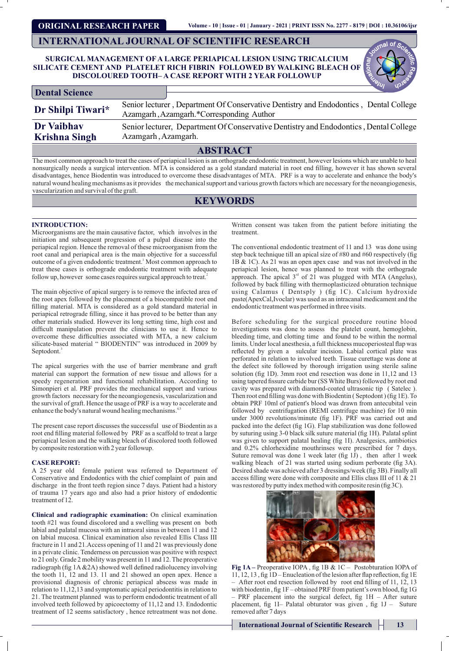**ORIGINAL RESEARCH PAPER**

## **INTERNATIONAL JOURNAL OF SCIENTIFIC RESEARCH**

## **SURGICAL MANAGEMENT OF A LARGE PERIAPICAL LESION USING TRICALCIUM SILICATE CEMENT AND PLATELET RICH FIBRIN FOLLOWED BY WALKING BLEACH OF DISCOLOURED TOOTH– A CASE REPORT WITH 2 YEAR FOLLOWUP**

| Dental Science       |                                                                                                                                   |                                                                                       |  |
|----------------------|-----------------------------------------------------------------------------------------------------------------------------------|---------------------------------------------------------------------------------------|--|
| Dr Shilpi Tiwari*    | Senior lecturer, Department Of Conservative Dentistry and Endodontics, Dental College<br>Azamgarh, Azamgarh.*Corresponding Author |                                                                                       |  |
| Dr Vaibhav           |                                                                                                                                   | Senior lecturer, Department Of Conservative Dentistry and Endodontics, Dental College |  |
| <b>Krishna Singh</b> | Azamgarh, Azamgarh.                                                                                                               |                                                                                       |  |
|                      |                                                                                                                                   | <b>ABSTRACT</b>                                                                       |  |

The most common approach to treat the cases of periapical lesion is an orthograde endodontic treatment, however lesions which are unable to heal nonsurgically needs a surgical intervention. MTA is considered as a gold standard material in root end lling, however it has shown several disadvantages, hence Biodentin was introduced to overcome these disadvantages of MTA. PRF is a way to accelerate and enhance the body's natural wound healing mechanisms as it provides the mechanical support and various growth factors which are necessary for the neoangiogenesis, vascularization and survival of the graft.

# **KEYWORDS**

## **INTRODUCTION:**

Microorganisms are the main causative factor, which involves in the initiation and subsequent progression of a pulpal disease into the periapical region. Hence the removal of these microorganism from the root canal and periapical area is the main objective for a successful outcome of a given endodontic treatment.<sup>1</sup> Most common approach to treat these cases is orthograde endodontic treatment with adequate follow up, however some cases requires surgical approach to treat.<sup>2</sup>

The main objective of apical surgery is to remove the infected area of the root apex followed by the placement of a biocompatible root end filling material. MTA is considered as a gold standard material in periapical retrograde filling, since it has proved to be better than any other materials studied. However its long setting time, high cost and difficult manipulation prevent the clinicians to use it. Hence to overcome these difficulties associated with MTA, a new calcium silicate-based material " BIODENTIN" was introduced in 2009 by Septodont.<sup>3</sup>

The apical surgeries with the use of barrier membrane and graft material can support the formation of new tissue and allows for a speedy regeneration and functional rehabilitation. According to Simonpieri et al. PRF provides the mechanical support and various growth factors necessary for the neoangiogenesis, vascularization and the survival of graft. Hence the usage of PRF is a way to accelerate and enhance the body's natural wound healing mechanisms.<sup>4,5</sup>

The present case report discusses the successful use of Biodentin as a root end filling material followed by PRF as a scaffold to treat a large periapical lesion and the walking bleach of discolored tooth followed by composite restoration with 2 year followup.

### **CASE REPORT:**

A 25 year old female patient was referred to Department of Conservative and Endodontics with the chief complaint of pain and discharge in the front teeth region since 7 days. Patient had a history of trauma 17 years ago and also had a prior history of endodontic treatment of 12.

**Clinical and radiographic examination:** On clinical examination tooth #21 was found discolored and a swelling was present on both labial and palatal mucosa with an intraoral sinus in between 11 and 12 on labial mucosa. Clinical examination also revealed Ellis Class III fracture in 11 and 21.Access opening of 11 and 21 was previously done in a private clinic. Tenderness on percussion was positive with respect to 21 only. Grade 2 mobility was present in 11 and 12. The preoperative radiograph (fig  $1A & 2A$ ) showed well defined radiolucency involving the tooth 11, 12 and 13. 11 and 21 showed an open apex. Hence a provisional diagnosis of chronic periapical abscess was made in relation to 11,12,13 and symptomatic apical periodontitis in relation to 21. The treatment planned was to perform endodontic treatment of all involved teeth followed by apicoectomy of 11,12 and 13. Endodontic treatment of 12 seems satisfactory , hence retreatment was not done.

Written consent was taken from the patient before initiating the treatment.

The conventional endodontic treatment of 11 and 13 was done using step back technique till an apical size of #80 and #60 respectively (fig 1B & 1C). As 21 was an open apex case and was not involved in the periapical lesion, hence was planned to treat with the orthograde approach. The apical  $3<sup>rd</sup>$  of 21 was plugged with MTA (Angelus), followed by back filling with thermoplasticized obturation technique using Calamus ( Dentsply ) (fig 1C). Calcium hydroxide paste(ApexCal,Ivoclar) was used as an intracanal medicament and the endodontic treatment was performed in three visits.

Before scheduling for the surgical procedure routine blood investigations was done to assess the platelet count, hemoglobin, bleeding time, and clotting time and found to be within the normal limits. Under local anesthesia, a full thickness mucoperiosteal flap was reflected by given a sulcular incision. Labial cortical plate was perforated in relation to involved teeth. Tissue curettage was done at the defect site followed by thorough irrigation using sterile saline solution (fig 1D). 3mm root end resection was done in 11,12 and 13 using tapered fissure carbide bur (SS White Burs) followed by root end cavity was prepared with diamond-coated ultrasonic tip ( Satelec ). Then root end filling was done with Biodentin (Septodont) (fig 1E). To obtain PRF 10ml of patient's blood was drawn from antecubital vein followed by centrifugation (REMI centrifuge machine) for 10 min under 3000 revolutions/minute (fig 1F). PRF was carried out and packed into the defect (fig 1G). Flap stabilization was done followed by suturing using 3-0 black silk suture material (fig 1H). Palatal splint was given to support palatal healing (fig 1I). Analgesics, antibiotics and 0.2% chlorhexidine mouthrinses were prescribed for 7 days. Suture removal was done  $1$  week later (fig  $1J$ ), then after  $1$  week walking bleach of 21 was started using sodium perborate (fig 3A). Desired shade was achieved after 3 dressings/week (fig 3B). Finally all access filling were done with composite and Ellis class III of 11 & 21 was restored by putty index method with composite resin (fig 3C).



Fig 1A – Preoperative IOPA, fig 1B & 1C – Postobturation IOPA of 11, 12, 13, fig  $1D$  – Enucleation of the lesion after flap reflection, fig  $1E$ After root end resection followed by root end filling of 11, 12, 13 with biodentin, fig  $1F$  – obtained PRF from patient's own blood, fig  $1G$  $-$  PRF placement into the surgical defect, fig  $1H -$  After suture placement, fig 1I– Palatal obturator was given, fig  $1J$  – Suture removed after 7 days

**International Journal of Scientific Research 13**